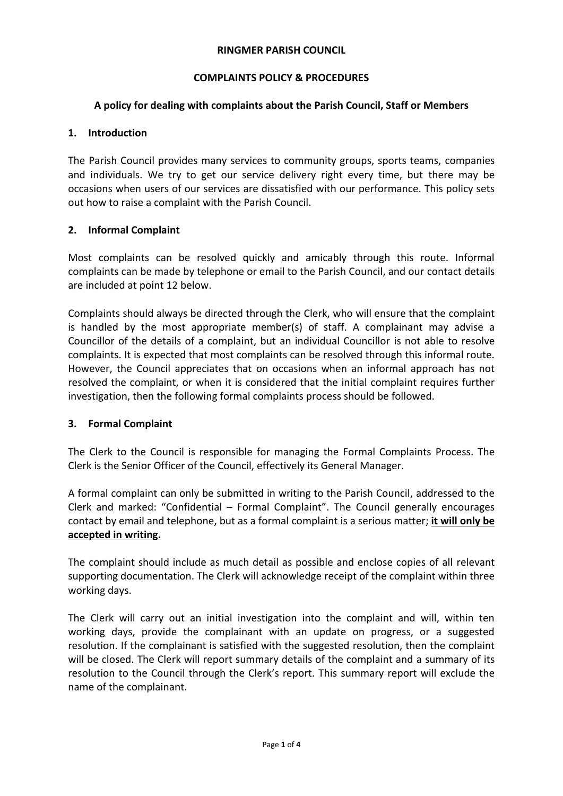### **RINGMER PARISH COUNCIL**

## **COMPLAINTS POLICY & PROCEDURES**

## **A policy for dealing with complaints about the Parish Council, Staff or Members**

### **1. Introduction**

The Parish Council provides many services to community groups, sports teams, companies and individuals. We try to get our service delivery right every time, but there may be occasions when users of our services are dissatisfied with our performance. This policy sets out how to raise a complaint with the Parish Council.

## **2. Informal Complaint**

Most complaints can be resolved quickly and amicably through this route. Informal complaints can be made by telephone or email to the Parish Council, and our contact details are included at point 12 below.

Complaints should always be directed through the Clerk, who will ensure that the complaint is handled by the most appropriate member(s) of staff. A complainant may advise a Councillor of the details of a complaint, but an individual Councillor is not able to resolve complaints. It is expected that most complaints can be resolved through this informal route. However, the Council appreciates that on occasions when an informal approach has not resolved the complaint, or when it is considered that the initial complaint requires further investigation, then the following formal complaints process should be followed.

### **3. Formal Complaint**

The Clerk to the Council is responsible for managing the Formal Complaints Process. The Clerk is the Senior Officer of the Council, effectively its General Manager.

A formal complaint can only be submitted in writing to the Parish Council, addressed to the Clerk and marked: "Confidential – Formal Complaint". The Council generally encourages contact by email and telephone, but as a formal complaint is a serious matter; **it will only be accepted in writing.**

The complaint should include as much detail as possible and enclose copies of all relevant supporting documentation. The Clerk will acknowledge receipt of the complaint within three working days.

The Clerk will carry out an initial investigation into the complaint and will, within ten working days, provide the complainant with an update on progress, or a suggested resolution. If the complainant is satisfied with the suggested resolution, then the complaint will be closed. The Clerk will report summary details of the complaint and a summary of its resolution to the Council through the Clerk's report. This summary report will exclude the name of the complainant.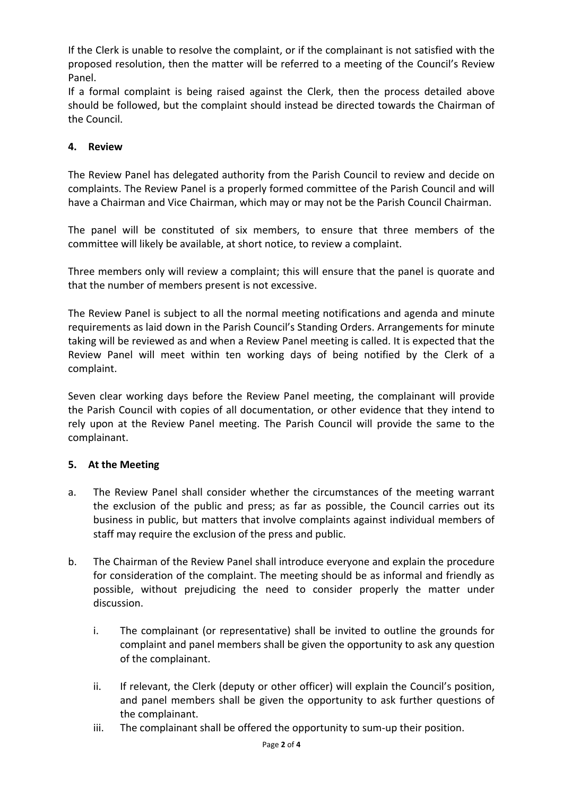If the Clerk is unable to resolve the complaint, or if the complainant is not satisfied with the proposed resolution, then the matter will be referred to a meeting of the Council's Review Panel.

If a formal complaint is being raised against the Clerk, then the process detailed above should be followed, but the complaint should instead be directed towards the Chairman of the Council.

# **4. Review**

The Review Panel has delegated authority from the Parish Council to review and decide on complaints. The Review Panel is a properly formed committee of the Parish Council and will have a Chairman and Vice Chairman, which may or may not be the Parish Council Chairman.

The panel will be constituted of six members, to ensure that three members of the committee will likely be available, at short notice, to review a complaint.

Three members only will review a complaint; this will ensure that the panel is quorate and that the number of members present is not excessive.

The Review Panel is subject to all the normal meeting notifications and agenda and minute requirements as laid down in the Parish Council's Standing Orders. Arrangements for minute taking will be reviewed as and when a Review Panel meeting is called. It is expected that the Review Panel will meet within ten working days of being notified by the Clerk of a complaint.

Seven clear working days before the Review Panel meeting, the complainant will provide the Parish Council with copies of all documentation, or other evidence that they intend to rely upon at the Review Panel meeting. The Parish Council will provide the same to the complainant.

# **5. At the Meeting**

- a. The Review Panel shall consider whether the circumstances of the meeting warrant the exclusion of the public and press; as far as possible, the Council carries out its business in public, but matters that involve complaints against individual members of staff may require the exclusion of the press and public.
- b. The Chairman of the Review Panel shall introduce everyone and explain the procedure for consideration of the complaint. The meeting should be as informal and friendly as possible, without prejudicing the need to consider properly the matter under discussion.
	- i. The complainant (or representative) shall be invited to outline the grounds for complaint and panel members shall be given the opportunity to ask any question of the complainant.
	- ii. If relevant, the Clerk (deputy or other officer) will explain the Council's position, and panel members shall be given the opportunity to ask further questions of the complainant.
	- iii. The complainant shall be offered the opportunity to sum-up their position.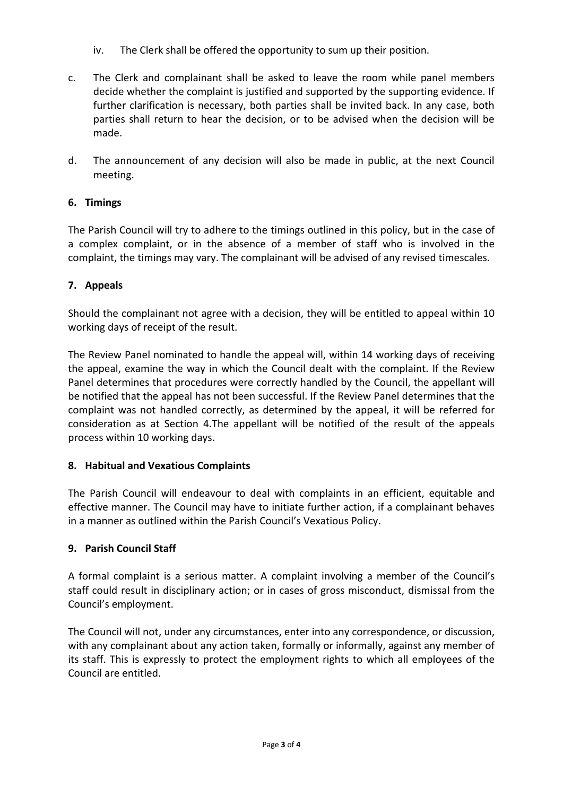- iv. The Clerk shall be offered the opportunity to sum up their position.
- c. The Clerk and complainant shall be asked to leave the room while panel members decide whether the complaint is justified and supported by the supporting evidence. If further clarification is necessary, both parties shall be invited back. In any case, both parties shall return to hear the decision, or to be advised when the decision will be made.
- d. The announcement of any decision will also be made in public, at the next Council meeting.

# **6. Timings**

The Parish Council will try to adhere to the timings outlined in this policy, but in the case of a complex complaint, or in the absence of a member of staff who is involved in the complaint, the timings may vary. The complainant will be advised of any revised timescales.

# **7. Appeals**

Should the complainant not agree with a decision, they will be entitled to appeal within 10 working days of receipt of the result.

The Review Panel nominated to handle the appeal will, within 14 working days of receiving the appeal, examine the way in which the Council dealt with the complaint. If the Review Panel determines that procedures were correctly handled by the Council, the appellant will be notified that the appeal has not been successful. If the Review Panel determines that the complaint was not handled correctly, as determined by the appeal, it will be referred for consideration as at Section 4.The appellant will be notified of the result of the appeals process within 10 working days.

# **8. Habitual and Vexatious Complaints**

The Parish Council will endeavour to deal with complaints in an efficient, equitable and effective manner. The Council may have to initiate further action, if a complainant behaves in a manner as outlined within the Parish Council's Vexatious Policy.

# **9. Parish Council Staff**

A formal complaint is a serious matter. A complaint involving a member of the Council's staff could result in disciplinary action; or in cases of gross misconduct, dismissal from the Council's employment.

The Council will not, under any circumstances, enter into any correspondence, or discussion, with any complainant about any action taken, formally or informally, against any member of its staff. This is expressly to protect the employment rights to which all employees of the Council are entitled.